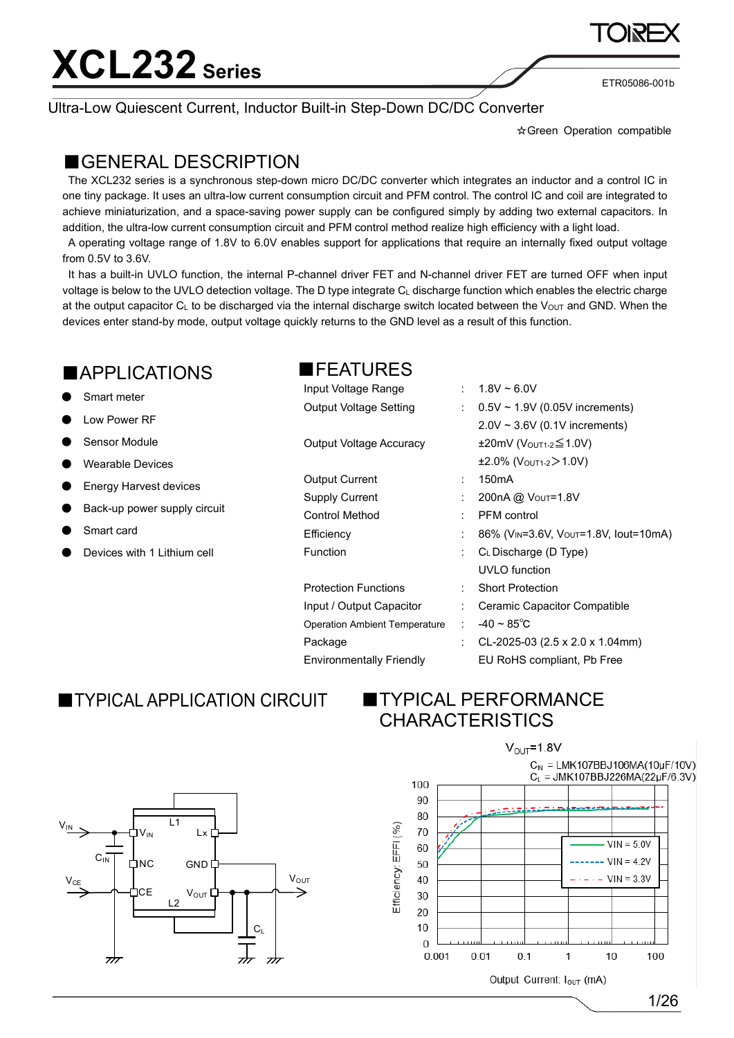Ultra-Low Quiescent Current, Inductor Built-in Step-Down DC/DC Converter

☆Green Operation compatible

ETR05086-001b

#### ■GENERAL DESCRIPTION

The XCL232 series is a synchronous step-down micro DC/DC converter which integrates an inductor and a control IC in one tiny package. It uses an ultra-low current consumption circuit and PFM control. The control IC and coil are integrated to achieve miniaturization, and a space-saving power supply can be configured simply by adding two external capacitors. In addition, the ultra-low current consumption circuit and PFM control method realize high efficiency with a light load.

A operating voltage range of 1.8V to 6.0V enables support for applications that require an internally fixed output voltage from 0.5V to 3.6V.

It has a built-in UVLO function, the internal P-channel driver FET and N-channel driver FET are turned OFF when input voltage is below to the UVLO detection voltage. The D type integrate CL discharge function which enables the electric charge at the output capacitor C<sub>L</sub> to be discharged via the internal discharge switch located between the V<sub>OUT</sub> and GND. When the devices enter stand-by mode, output voltage quickly returns to the GND level as a result of this function.

■FEATURES

Input Voltage Range : 1.8V ~ 6.0V

#### **APPLICATIONS**

- Smart meter
- **Low Power RF**
- **Sensor Module**
- **Wearable Devices**
- **Energy Harvest devices**
- Back-up power supply circuit
- Smart card
- Devices with 1 Lithium cell

| Output Voltage Setting          |    | : $0.5V \sim 1.9V$ (0.05V increments)             |
|---------------------------------|----|---------------------------------------------------|
|                                 |    | $2.0V \sim 3.6V$ (0.1V increments)                |
| <b>Output Voltage Accuracy</b>  |    | $\pm 20$ mV (Vout1-2 $\leq 1.0$ V)                |
|                                 |    | $\pm 2.0\%$ (Vout1-2 > 1.0V)                      |
| Output Current                  | t. | 150 <sub>m</sub> A                                |
| <b>Supply Current</b>           | t  | 200nA @ Vout=1.8V                                 |
| <b>Control Method</b>           |    | <b>PFM</b> control                                |
| Efficiency                      |    | 86% (V <sub>IN</sub> =3.6V, Vout=1.8V, lout=10mA) |
| Function                        |    | CL Discharge (D Type)                             |
|                                 |    | <b>UVLO</b> function                              |
| <b>Protection Functions</b>     |    | <b>Short Protection</b>                           |
| Input / Output Capacitor        | t. | Ceramic Capacitor Compatible                      |
| Operation Ambient Temperature   | ÷  | $-40 \sim 85^{\circ}$ C                           |
| Package                         | t. | CL-2025-03 (2.5 x 2.0 x 1.04mm)                   |
| <b>Environmentally Friendly</b> |    | EU RoHS compliant, Pb Free                        |

### **TYPICAL APPLICATION CIRCUIT**

#### **■TYPICAL PERFORMANCE CHARACTERISTICS**



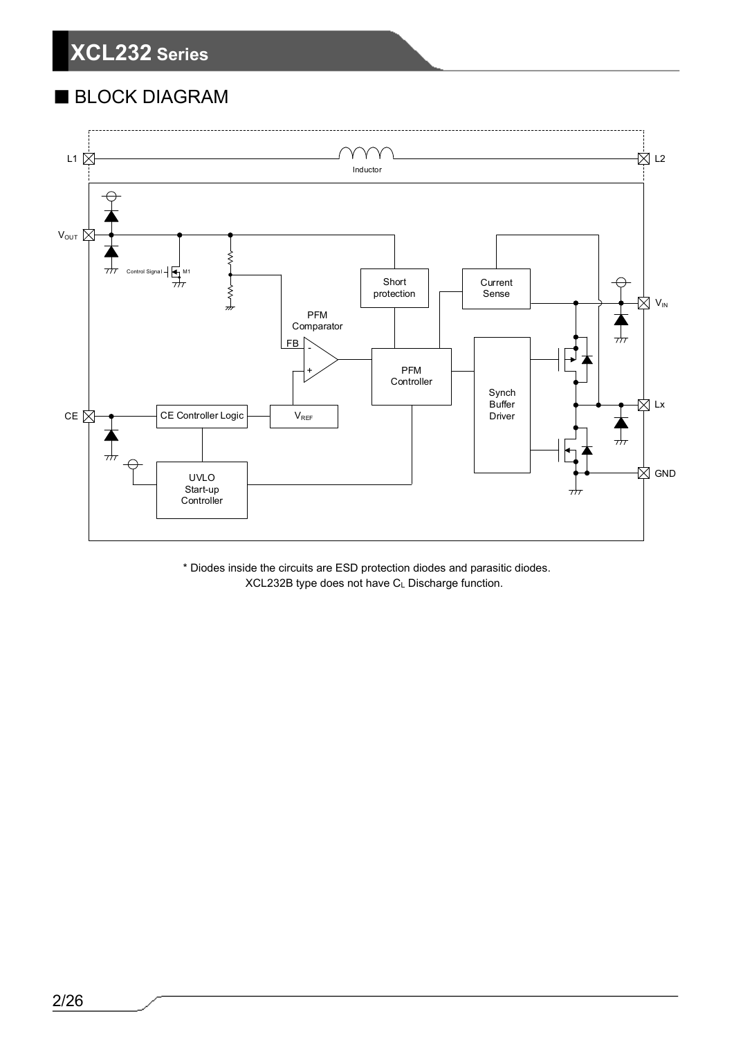### ■ BLOCK DIAGRAM



\* Diodes inside the circuits are ESD protection diodes and parasitic diodes. XCL232B type does not have CL Discharge function.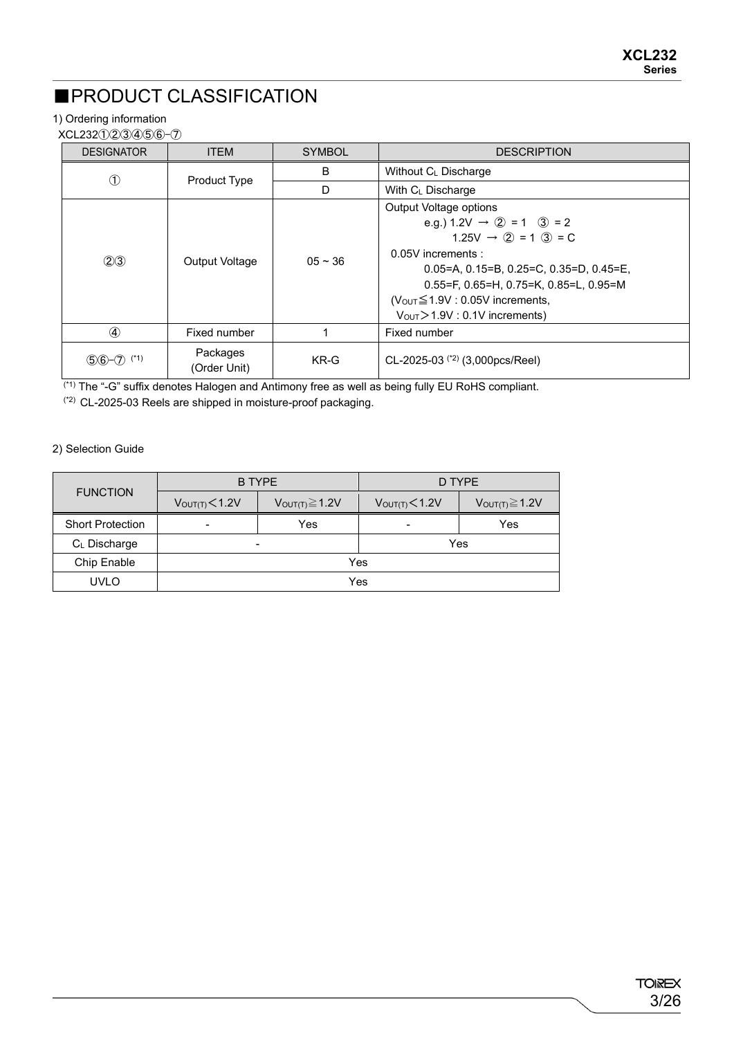### ■PRODUCT CLASSIFICATION

#### 1) Ordering information

XCL232①②③④⑤⑥-⑦

| <b>DESIGNATOR</b> | <b>ITEM</b>              | <b>SYMBOL</b> | <b>DESCRIPTION</b>                                                                                                                                                                                                                                                                                                                                      |
|-------------------|--------------------------|---------------|---------------------------------------------------------------------------------------------------------------------------------------------------------------------------------------------------------------------------------------------------------------------------------------------------------------------------------------------------------|
| ➀                 |                          | B             | Without C <sub>L</sub> Discharge                                                                                                                                                                                                                                                                                                                        |
|                   | Product Type             | D             | With C <sub>L</sub> Discharge                                                                                                                                                                                                                                                                                                                           |
| (2)3              | Output Voltage           | $05 - 36$     | Output Voltage options<br>e.g.) $1.2V \rightarrow Q = 1$ $3 = 2$<br>$1.25V \rightarrow Q = 1$ (3) = C<br>0.05V increments :<br>$0.05 = A$ , $0.15 = B$ , $0.25 = C$ , $0.35 = D$ , $0.45 = E$ ,<br>$0.55 = F$ , $0.65 = H$ , $0.75 = K$ , $0.85 = L$ , $0.95 = M$<br>$(VoUT \le 1.9V : 0.05V$ increments,<br>$V_{\text{OUT}}$ > 1.9V : 0.1V increments) |
| $\circled{4}$     | Fixed number             |               | Fixed number                                                                                                                                                                                                                                                                                                                                            |
| $56 - 7$ (*1)     | Packages<br>(Order Unit) | KR-G          | CL-2025-03 $(2)$ (3,000pcs/Reel)                                                                                                                                                                                                                                                                                                                        |

(\*1) The "-G" suffix denotes Halogen and Antimony free as well as being fully EU RoHS compliant.

(\*2) CL-2025-03 Reels are shipped in moisture-proof packaging.

#### 2) Selection Guide

|                         | <b>B TYPE</b>                                        |     | D TYPE                     |                        |  |
|-------------------------|------------------------------------------------------|-----|----------------------------|------------------------|--|
| <b>FUNCTION</b>         | $V_{OUT(T)} \geq 1.2V$<br>V <sub>OUT(T)</sub> < 1.2V |     | V <sub>OUT(T)</sub> < 1.2V | $V_{OUT(T)} \geq 1.2V$ |  |
| <b>Short Protection</b> | Yes<br>$\qquad \qquad$                               |     |                            | Yes                    |  |
| C∟ Discharge            | $\overline{\phantom{0}}$                             | Yes |                            |                        |  |
| Chip Enable             | Yes                                                  |     |                            |                        |  |
| <b>UVLO</b>             | Yes                                                  |     |                            |                        |  |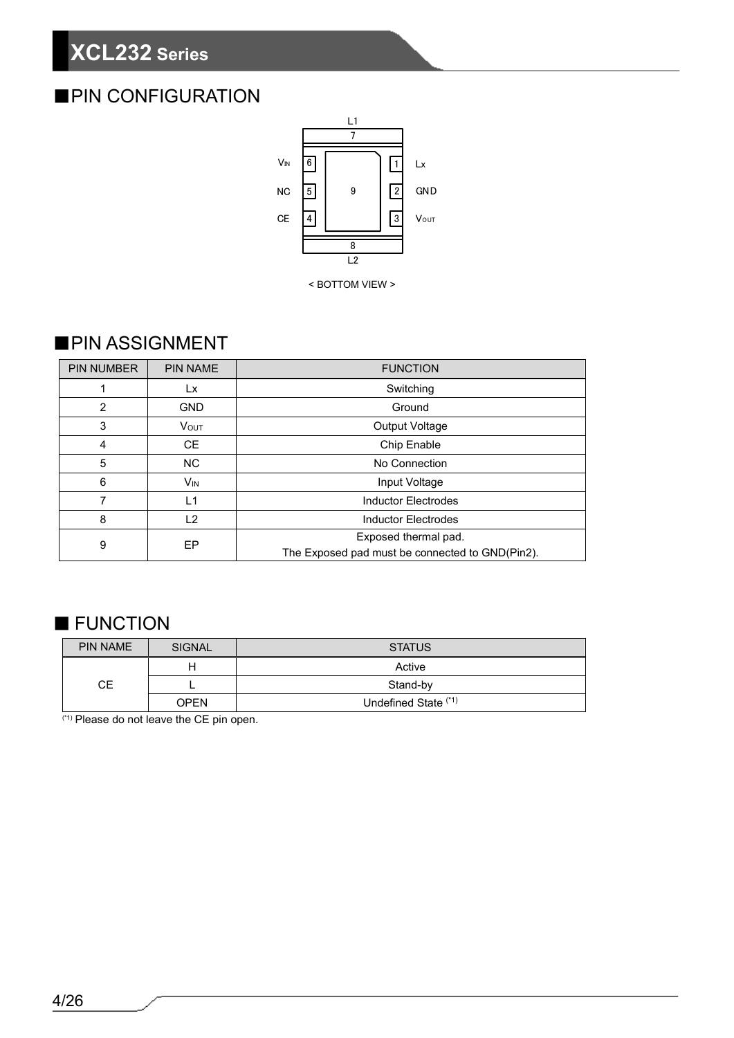### ■PIN CONFIGURATION



< BOTTOM VIEW >

#### ■PIN ASSIGNMENT

| <b>PIN NUMBER</b> | <b>PIN NAME</b>         | <b>FUNCTION</b>                                 |  |  |
|-------------------|-------------------------|-------------------------------------------------|--|--|
|                   | Lx                      | Switching                                       |  |  |
| $\overline{2}$    | <b>GND</b>              | Ground                                          |  |  |
| 3                 | <b>V</b> <sub>OUT</sub> | Output Voltage                                  |  |  |
| 4                 | <b>CE</b>               | Chip Enable                                     |  |  |
| 5                 | <b>NC</b>               | No Connection                                   |  |  |
| 6                 | V <sub>IN</sub>         | Input Voltage                                   |  |  |
|                   | L <sub>1</sub>          | <b>Inductor Electrodes</b>                      |  |  |
| 8                 | L <sub>2</sub>          | <b>Inductor Electrodes</b>                      |  |  |
| EP<br>9           |                         | Exposed thermal pad.                            |  |  |
|                   |                         | The Exposed pad must be connected to GND(Pin2). |  |  |

### ■ FUNCTION

| <b>PIN NAME</b> | SIGNAL      | <b>STATUS</b>        |
|-----------------|-------------|----------------------|
|                 | н           | Active               |
| CЕ              |             | Stand-by             |
|                 | <b>OPEN</b> | Undefined State (*1) |

(\*1) Please do not leave the CE pin open.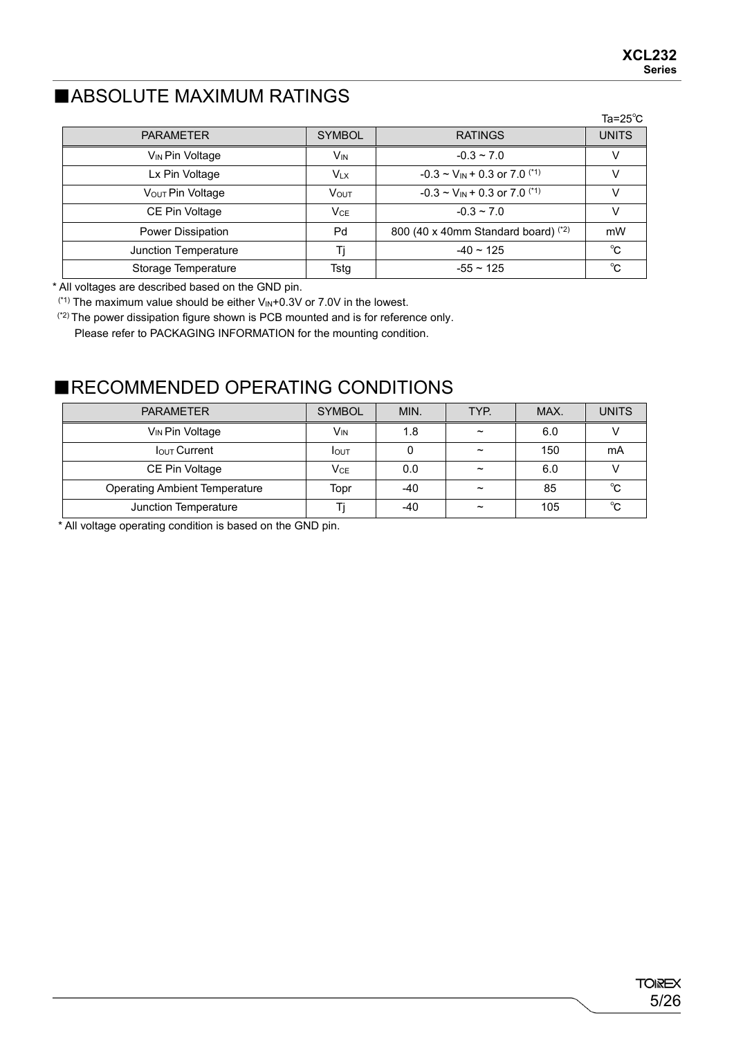### ■ABSOLUTE MAXIMUM RATINGS

|                              |                       |                                                 | Ta=25 $^{\circ}$ C |
|------------------------------|-----------------------|-------------------------------------------------|--------------------|
| <b>PARAMETER</b>             | <b>SYMBOL</b>         | <b>RATINGS</b>                                  | <b>UNITS</b>       |
| V <sub>IN</sub> Pin Voltage  | <b>V<sub>IN</sub></b> | $-0.3 \sim 7.0$                                 |                    |
| Lx Pin Voltage               | <b>V<sub>LX</sub></b> | $-0.3 \sim V_{IN} + 0.3$ or 7.0 <sup>(*1)</sup> |                    |
| V <sub>OUT</sub> Pin Voltage | VOUT                  | $-0.3 \sim V_{IN} + 0.3$ or 7.0 <sup>(*1)</sup> | v                  |
| CE Pin Voltage               | VCE                   | $-0.3 \sim 7.0$                                 | V                  |
| <b>Power Dissipation</b>     | Pd                    | 800 (40 x 40mm Standard board) $(2)$            | mW                 |
| Junction Temperature         |                       | $-40 \sim 125$                                  | °C                 |
| Storage Temperature          | Tstg                  | $-55 \sim 125$                                  | ℃                  |

\* All voltages are described based on the GND pin.

 $(1)$ <sup>(\*1)</sup> The maximum value should be either  $V_{IN}+0.3V$  or 7.0V in the lowest.

(\*2) The power dissipation figure shown is PCB mounted and is for reference only.

Please refer to PACKAGING INFORMATION for the mounting condition.

#### ■RECOMMENDED OPERATING CONDITIONS

| <b>PARAMETER</b>                     | <b>SYMBOL</b>   | MIN.  | TYP.                  | MAX. | <b>UNITS</b> |
|--------------------------------------|-----------------|-------|-----------------------|------|--------------|
| V <sub>IN</sub> Pin Voltage          | V <sub>IN</sub> | 1.8   | $\tilde{}$            | 6.0  |              |
| <b>IOUT Current</b>                  | <b>I</b> OUT    |       | $\tilde{\phantom{a}}$ | 150  | mA           |
| CE Pin Voltage                       | Vce             | 0.0   | $\tilde{\phantom{a}}$ | 6.0  |              |
| <b>Operating Ambient Temperature</b> | Topr            | $-40$ | $\tilde{\phantom{a}}$ | 85   | °C           |
| Junction Temperature                 |                 | -40   | $\tilde{\phantom{a}}$ | 105  | °C           |

\* All voltage operating condition is based on the GND pin.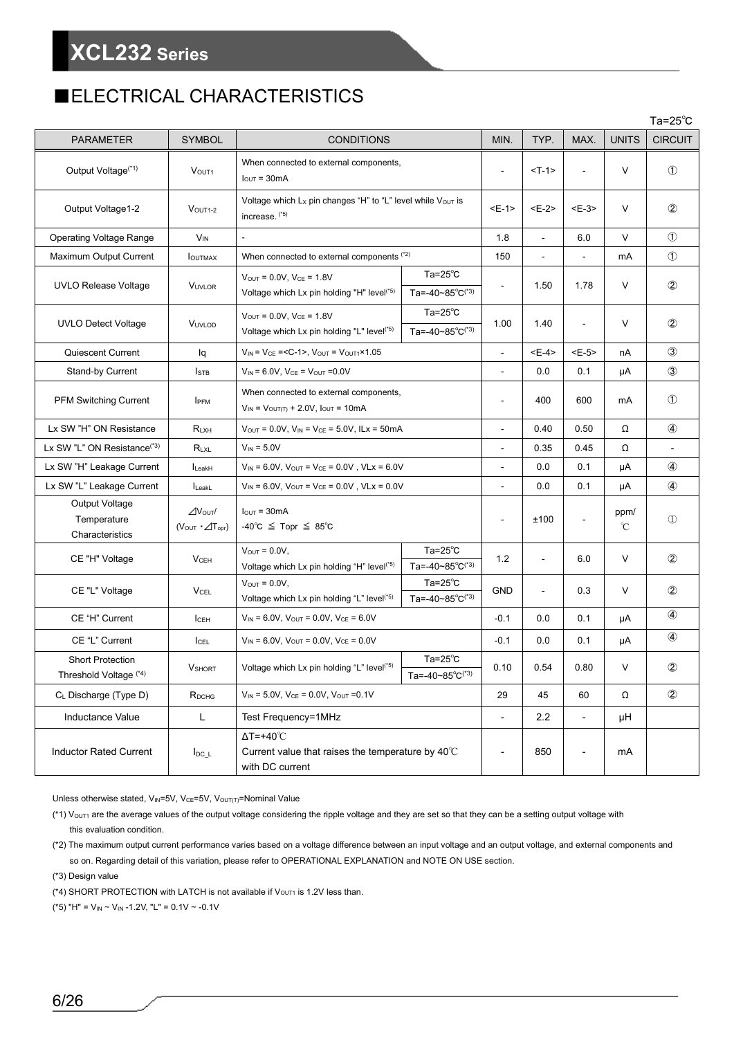### ■ELECTRICAL CHARACTERISTICS

|                                                   |                                                    |                                                                                                                                                                   |                |                |                          | Ta=25 $^{\circ}$ C    |                |
|---------------------------------------------------|----------------------------------------------------|-------------------------------------------------------------------------------------------------------------------------------------------------------------------|----------------|----------------|--------------------------|-----------------------|----------------|
| <b>PARAMETER</b>                                  | <b>SYMBOL</b>                                      | <b>CONDITIONS</b>                                                                                                                                                 | MIN.           | TYP.           | MAX.                     | <b>UNITS</b>          | <b>CIRCUIT</b> |
| Output Voltage <sup>(*1)</sup>                    | V <sub>OUT1</sub>                                  | When connected to external components,<br>$I_{\text{OUT}} = 30 \text{mA}$                                                                                         | $\blacksquare$ | $<$ T-1>       |                          | V                     | $\circled{1}$  |
| Output Voltage1-2                                 | $VOUT1-2$                                          | Voltage which $L_X$ pin changes "H" to "L" level while $V_{OUT}$ is<br>increase. (*5)                                                                             | $E-1$          | $E-2$          | $E-3>$                   | V                     | $\circled{2}$  |
| <b>Operating Voltage Range</b>                    | <b>V<sub>IN</sub></b>                              |                                                                                                                                                                   | 1.8            | $\overline{a}$ | 6.0                      | V                     | $\circled{1}$  |
| Maximum Output Current                            | <b>I</b> OUTMAX                                    | When connected to external components (*2)                                                                                                                        | 150            |                |                          | mA                    | $\circled{1}$  |
| <b>UVLO Release Voltage</b>                       | <b>VUVLOR</b>                                      | $Ta=25^\circ C$<br>$V_{OUT} = 0.0V$ , $V_{CE} = 1.8V$<br>Ta=-40~85°C <sup>(*3)</sup><br>Voltage which Lx pin holding "H" level <sup>(*5)</sup>                    |                | 1.50           | 1.78                     | V                     | $^{\circledR}$ |
| <b>UVLO Detect Voltage</b>                        | VUVLOD                                             | Ta= $25^{\circ}$ C<br>$V_{\text{OUT}} = 0.0 V$ , $V_{\text{CE}} = 1.8 V$<br>Ta=-40~85°C <sup>(*3)</sup><br>Voltage which Lx pin holding "L" level <sup>(*5)</sup> | 1.00           | 1.40           |                          | V                     | $\circled{2}$  |
| Quiescent Current                                 | lq                                                 | $V_{IN}$ = $V_{CE}$ = <c-1>, <math>V_{OUT}</math> = <math>V_{OUT1} \times 1.05</math></c-1>                                                                       | $\overline{a}$ | $E-4$          | $E-5$                    | nA                    | $\circled{3}$  |
| Stand-by Current                                  | $I_{\text{STE}}$                                   | $V_{IN} = 6.0V$ , $V_{CE} = V_{OUT} = 0.0V$                                                                                                                       | $\overline{a}$ | 0.0            | 0.1                      | μA                    | $\circled{3}$  |
| <b>PFM Switching Current</b>                      | <b>IPFM</b>                                        | When connected to external components,<br>$V_{IN}$ = $V_{OUT(T)}$ + 2.0V, $I_{OUT}$ = 10mA                                                                        |                | 400            | 600                      | mA                    | $\circled{1}$  |
| Lx SW "H" ON Resistance                           | $R_{LXH}$                                          | $V_{\text{OUT}} = 0.0 V$ , $V_{\text{IN}} = V_{\text{CE}} = 5.0 V$ , ILx = 50mA                                                                                   |                | 0.40           | 0.50                     | Ω                     | $\circled{4}$  |
| Lx SW "L" ON Resistance <sup>(*3)</sup>           | RLXL                                               | $V_{IN} = 5.0V$                                                                                                                                                   | $\blacksquare$ | 0.35           | 0.45                     | Ω                     |                |
| Lx SW "H" Leakage Current                         | LeakH                                              | $V_{IN} = 6.0 V$ , $V_{OUT} = V_{CE} = 0.0 V$ , $V L x = 6.0 V$                                                                                                   |                | 0.0            | 0.1                      | μA                    | $^{\circledA}$ |
| Lx SW "L" Leakage Current                         | $I_{\text{LeakL}}$                                 | $V_{IN} = 6.0 V$ , $V_{OUT} = V_{CE} = 0.0 V$ , $V L x = 0.0 V$                                                                                                   |                | 0.0            | 0.1                      | μA                    | $^{\circledA}$ |
| Output Voltage<br>Temperature<br>Characteristics  | $\Delta$ Vout/<br>$(V_{OUT} \cdot \angle T_{opr})$ | $IOUT = 30mA$<br>$-40^{\circ}C \leq Top \leq 85^{\circ}C$                                                                                                         |                | ±100           | $\overline{\phantom{a}}$ | ppm/<br>$\mathcal{C}$ | $\mathcal{D}$  |
| CE "H" Voltage                                    | $V$ CEH                                            | $Ta=25^\circ C$<br>$V_{OUT} = 0.0V$ ,<br>Ta=-40~85°C(*3)<br>Voltage which Lx pin holding "H" level <sup>(*5)</sup>                                                | 1.2            | ä,             | 6.0                      | V                     | $\circled{2}$  |
| CE "L" Voltage                                    | <b>VCEL</b>                                        | Ta= $25^{\circ}$ C<br>$V_{\text{OUT}} = 0.0 V$ ,<br>Voltage which Lx pin holding "L" level <sup>(*5)</sup><br>Ta=-40~85°C <sup>(*3)</sup>                         | <b>GND</b>     | $\blacksquare$ | 0.3                      | V                     | $\circled{2}$  |
| CE "H" Current                                    | ICEH                                               | $V_{IN} = 6.0V$ , $V_{OUT} = 0.0V$ , $V_{CE} = 6.0V$                                                                                                              | $-0.1$         | 0.0            | 0.1                      | μA                    | $\circled{4}$  |
| CE "L" Current                                    | ICEL                                               | $V_{IN} = 6.0V$ , $V_{OUT} = 0.0V$ , $V_{CE} = 0.0V$                                                                                                              |                | 0.0            | 0.1                      | μA                    | $\circled{4}$  |
| <b>Short Protection</b><br>Threshold Voltage (*4) | <b>V</b> SHORT                                     | Ta= $25^{\circ}$ C<br>Voltage which Lx pin holding "L" level <sup>(*5)</sup><br>Ta=-40~85 $^{\circ}$ C <sup>(*3)</sup>                                            |                | 0.54           | 0.80                     | V                     | $^\circledR$   |
| CL Discharge (Type D)                             | R <sub>DCHG</sub>                                  | $V_{IN}$ = 5.0V, $V_{CE}$ = 0.0V, $V_{OUT}$ =0.1V                                                                                                                 |                | 45             | 60                       | Ω                     | $^{\circledR}$ |
| Inductance Value                                  | L                                                  | Test Frequency=1MHz                                                                                                                                               |                | 2.2            |                          | μH                    |                |
| <b>Inductor Rated Current</b>                     | $I_{DC\_L}$                                        | $\Delta T = +40^{\circ}C$<br>Current value that raises the temperature by $40^{\circ}$ C<br>with DC current                                                       |                | 850            | $\overline{\phantom{a}}$ | mA                    |                |

Unless otherwise stated,  $V_{IN}=5V$ ,  $V_{CE}=5V$ ,  $V_{OUT(T)}=N$ ominal Value

(\*1) VouT<sub>1</sub> are the average values of the output voltage considering the ripple voltage and they are set so that they can be a setting output voltage with this evaluation condition.

(\*2) The maximum output current performance varies based on a voltage difference between an input voltage and an output voltage, and external components and so on. Regarding detail of this variation, please refer to OPERATIONAL EXPLANATION and NOTE ON USE section.

(\*3) Design value

(\*4) SHORT PROTECTION with LATCH is not available if  $V_{\text{OUT1}}$  is 1.2V less than.

(\*5) "H" =  $V_{IN}$  ~  $V_{IN}$  -1.2V, "L" = 0.1V ~ -0.1V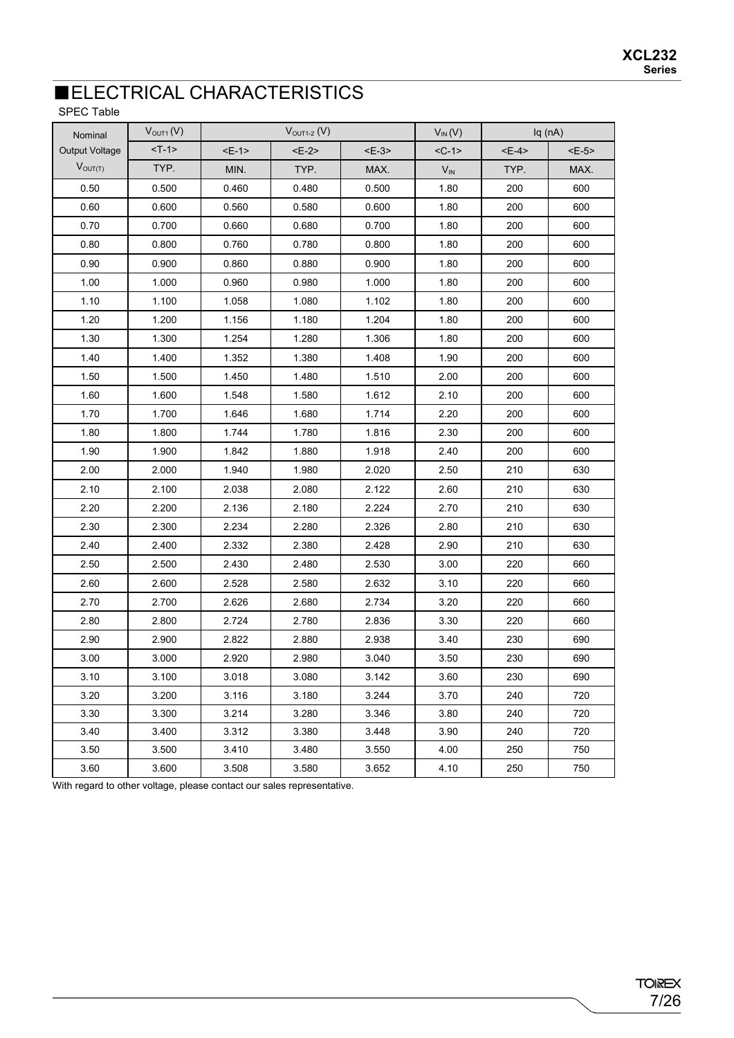### **ELECTRICAL CHARACTERISTICS**

SPEC Table

| Nominal               | V <sub>OUT1</sub> (V) | $VOUT1-2 (V)$ |       |        | $V_{IN}(V)$ |        | Iq(nA) |
|-----------------------|-----------------------|---------------|-------|--------|-------------|--------|--------|
| <b>Output Voltage</b> | $<$ T-1>              | $E-1$         | $E-2$ | $E-3>$ | $<$ C-1>    | $E-4>$ | $>$    |
| $V_{OUT(T)}$          | TYP.                  | MIN.          | TYP.  | MAX.   | $V_{IN}$    | TYP.   | MAX.   |
| 0.50                  | 0.500                 | 0.460         | 0.480 | 0.500  | 1.80        | 200    | 600    |
| 0.60                  | 0.600                 | 0.560         | 0.580 | 0.600  | 1.80        | 200    | 600    |
| 0.70                  | 0.700                 | 0.660         | 0.680 | 0.700  | 1.80        | 200    | 600    |
| 0.80                  | 0.800                 | 0.760         | 0.780 | 0.800  | 1.80        | 200    | 600    |
| 0.90                  | 0.900                 | 0.860         | 0.880 | 0.900  | 1.80        | 200    | 600    |
| 1.00                  | 1.000                 | 0.960         | 0.980 | 1.000  | 1.80        | 200    | 600    |
| 1.10                  | 1.100                 | 1.058         | 1.080 | 1.102  | 1.80        | 200    | 600    |
| 1.20                  | 1.200                 | 1.156         | 1.180 | 1.204  | 1.80        | 200    | 600    |
| 1.30                  | 1.300                 | 1.254         | 1.280 | 1.306  | 1.80        | 200    | 600    |
| 1.40                  | 1.400                 | 1.352         | 1.380 | 1.408  | 1.90        | 200    | 600    |
| 1.50                  | 1.500                 | 1.450         | 1.480 | 1.510  | 2.00        | 200    | 600    |
| 1.60                  | 1.600                 | 1.548         | 1.580 | 1.612  | 2.10        | 200    | 600    |
| 1.70                  | 1.700                 | 1.646         | 1.680 | 1.714  | 2.20        | 200    | 600    |
| 1.80                  | 1.800                 | 1.744         | 1.780 | 1.816  | 2.30        | 200    | 600    |
| 1.90                  | 1.900                 | 1.842         | 1.880 | 1.918  | 2.40        | 200    | 600    |
| 2.00                  | 2.000                 | 1.940         | 1.980 | 2.020  | 2.50        | 210    | 630    |
| 2.10                  | 2.100                 | 2.038         | 2.080 | 2.122  | 2.60        | 210    | 630    |
| 2.20                  | 2.200                 | 2.136         | 2.180 | 2.224  | 2.70        | 210    | 630    |
| 2.30                  | 2.300                 | 2.234         | 2.280 | 2.326  | 2.80        | 210    | 630    |
| 2.40                  | 2.400                 | 2.332         | 2.380 | 2.428  | 2.90        | 210    | 630    |
| 2.50                  | 2.500                 | 2.430         | 2.480 | 2.530  | 3.00        | 220    | 660    |
| 2.60                  | 2.600                 | 2.528         | 2.580 | 2.632  | 3.10        | 220    | 660    |
| 2.70                  | 2.700                 | 2.626         | 2.680 | 2.734  | 3.20        | 220    | 660    |
| 2.80                  | 2.800                 | 2.724         | 2.780 | 2.836  | 3.30        | 220    | 660    |
| 2.90                  | 2.900                 | 2.822         | 2.880 | 2.938  | 3.40        | 230    | 690    |
| 3.00                  | 3.000                 | 2.920         | 2.980 | 3.040  | 3.50        | 230    | 690    |
| 3.10                  | 3.100                 | 3.018         | 3.080 | 3.142  | 3.60        | 230    | 690    |
| 3.20                  | 3.200                 | 3.116         | 3.180 | 3.244  | 3.70        | 240    | 720    |
| 3.30                  | 3.300                 | 3.214         | 3.280 | 3.346  | 3.80        | 240    | 720    |
| 3.40                  | 3.400                 | 3.312         | 3.380 | 3.448  | 3.90        | 240    | 720    |
| 3.50                  | 3.500                 | 3.410         | 3.480 | 3.550  | 4.00        | 250    | 750    |
| 3.60                  | 3.600                 | 3.508         | 3.580 | 3.652  | 4.10        | 250    | 750    |

With regard to other voltage, please contact our sales representative.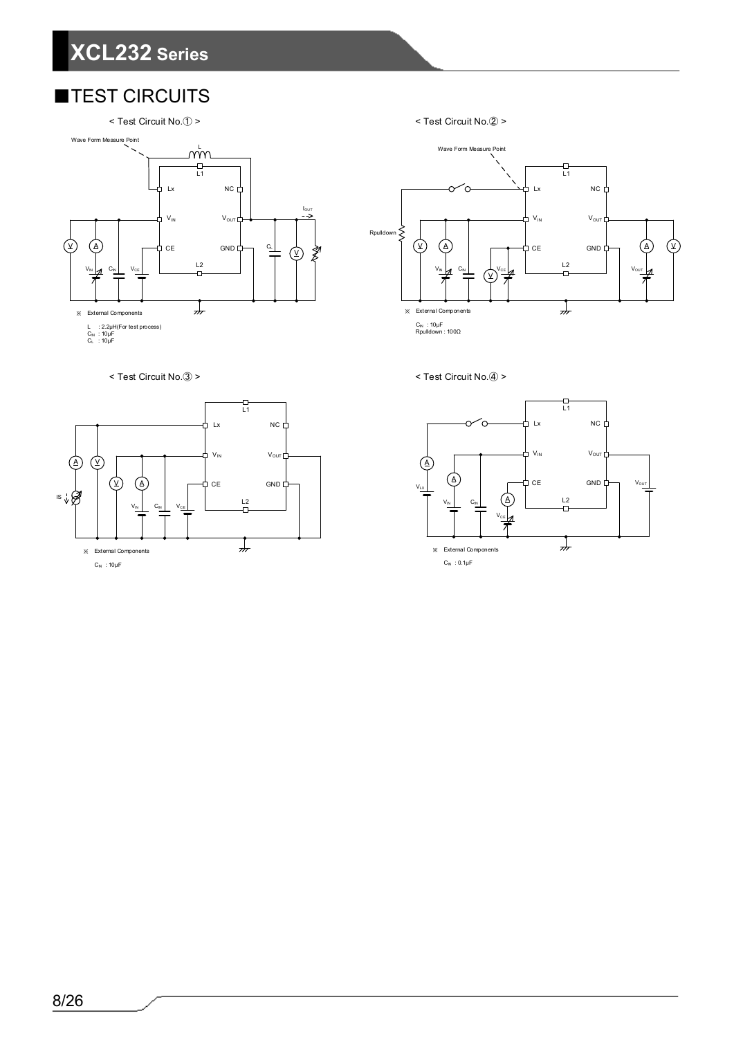### ■TEST CIRCUITS





< Test Circuit No.② >



< Test Circuit No.④ >





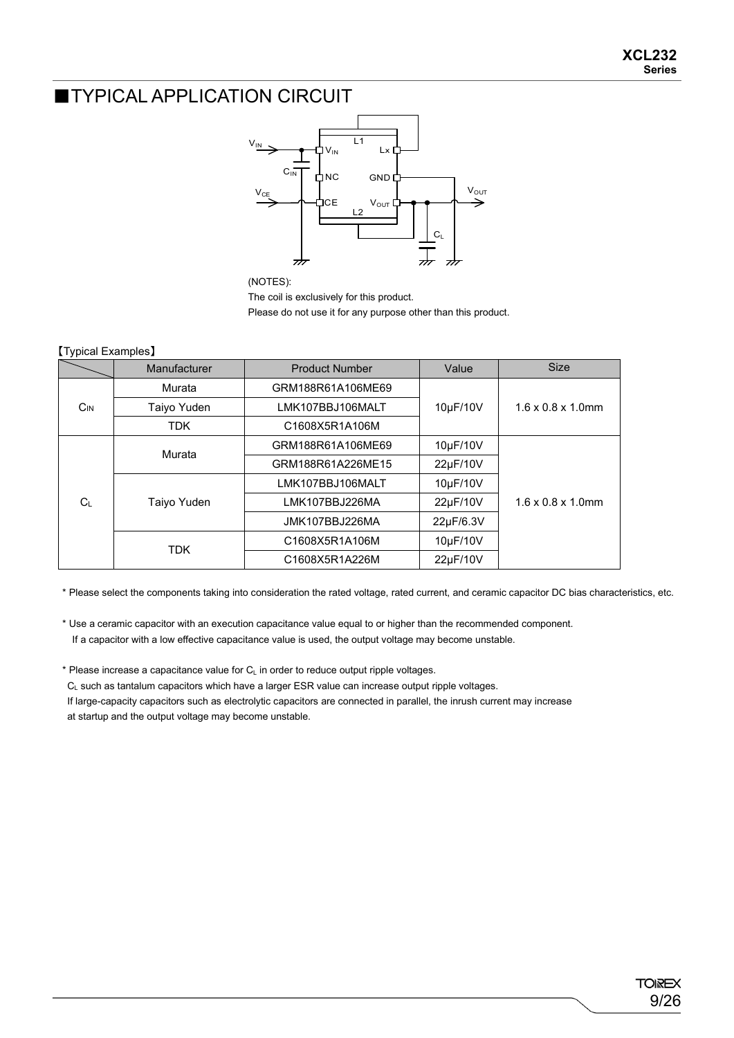#### **TYPICAL APPLICATION CIRCUIT**



(NOTES):

The coil is exclusively for this product.

Please do not use it for any purpose other than this product.

#### 【Typical Examples】

|                                                | Manufacturer      | <b>Product Number</b> | Value     | <b>Size</b>                    |  |
|------------------------------------------------|-------------------|-----------------------|-----------|--------------------------------|--|
| Murata                                         |                   | GRM188R61A106ME69     |           |                                |  |
| $C_{IN}$                                       | Taiyo Yuden       | LMK107BBJ106MALT      | 10µF/10V  | $1.6 \times 0.8 \times 1.0$ mm |  |
| <b>TDK</b>                                     |                   | C1608X5R1A106M        |           |                                |  |
| Murata<br>Taiyo Yuden<br>$C_{L}$<br><b>TDK</b> | GRM188R61A106ME69 | 10µF/10V              |           |                                |  |
|                                                |                   | GRM188R61A226ME15     | 22µF/10V  |                                |  |
|                                                |                   | LMK107BBJ106MALT      | 10µF/10V  |                                |  |
|                                                |                   | LMK107BBJ226MA        | 22µF/10V  | $1.6 \times 0.8 \times 1.0$ mm |  |
|                                                |                   | JMK107BBJ226MA        | 22µF/6.3V |                                |  |
|                                                |                   | C1608X5R1A106M        | 10µF/10V  |                                |  |
|                                                |                   | C1608X5R1A226M        | 22µF/10V  |                                |  |

\* Please select the components taking into consideration the rated voltage, rated current, and ceramic capacitor DC bias characteristics, etc.

\* Use a ceramic capacitor with an execution capacitance value equal to or higher than the recommended component. If a capacitor with a low effective capacitance value is used, the output voltage may become unstable.

 $*$  Please increase a capacitance value for  $C<sub>L</sub>$  in order to reduce output ripple voltages.

C<sub>L</sub> such as tantalum capacitors which have a larger ESR value can increase output ripple voltages.

If large-capacity capacitors such as electrolytic capacitors are connected in parallel, the inrush current may increase at startup and the output voltage may become unstable.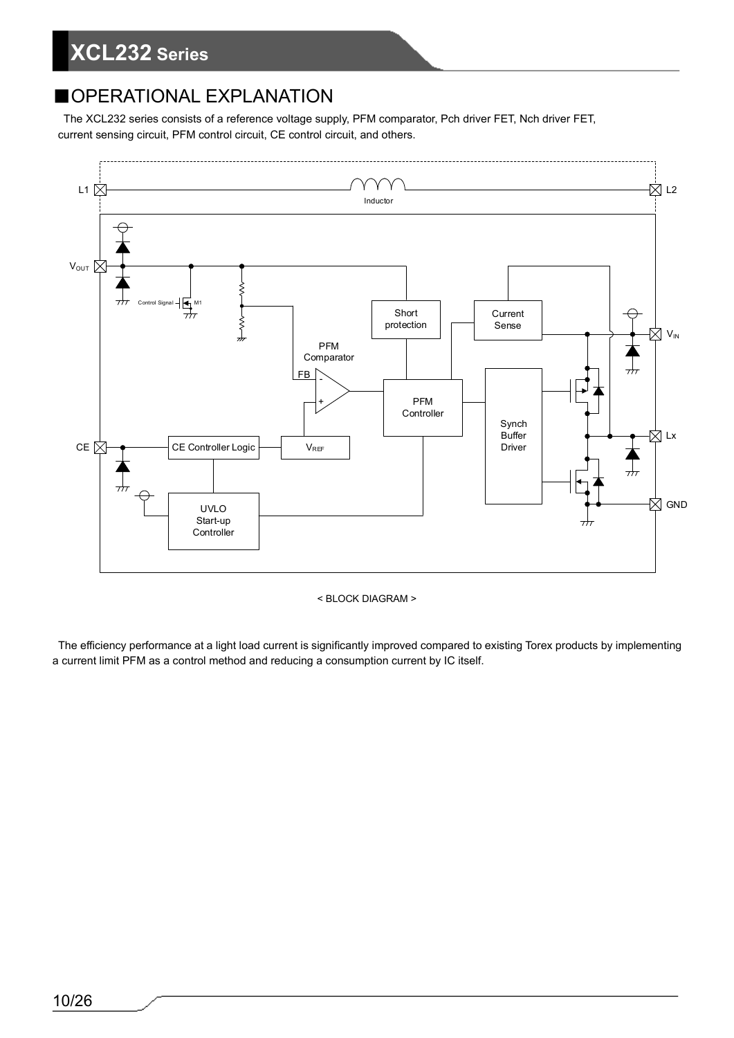### ■OPERATIONAL EXPLANATION

The XCL232 series consists of a reference voltage supply, PFM comparator, Pch driver FET, Nch driver FET, current sensing circuit, PFM control circuit, CE control circuit, and others.



< BLOCK DIAGRAM >

The efficiency performance at a light load current is significantly improved compared to existing Torex products by implementing a current limit PFM as a control method and reducing a consumption current by IC itself.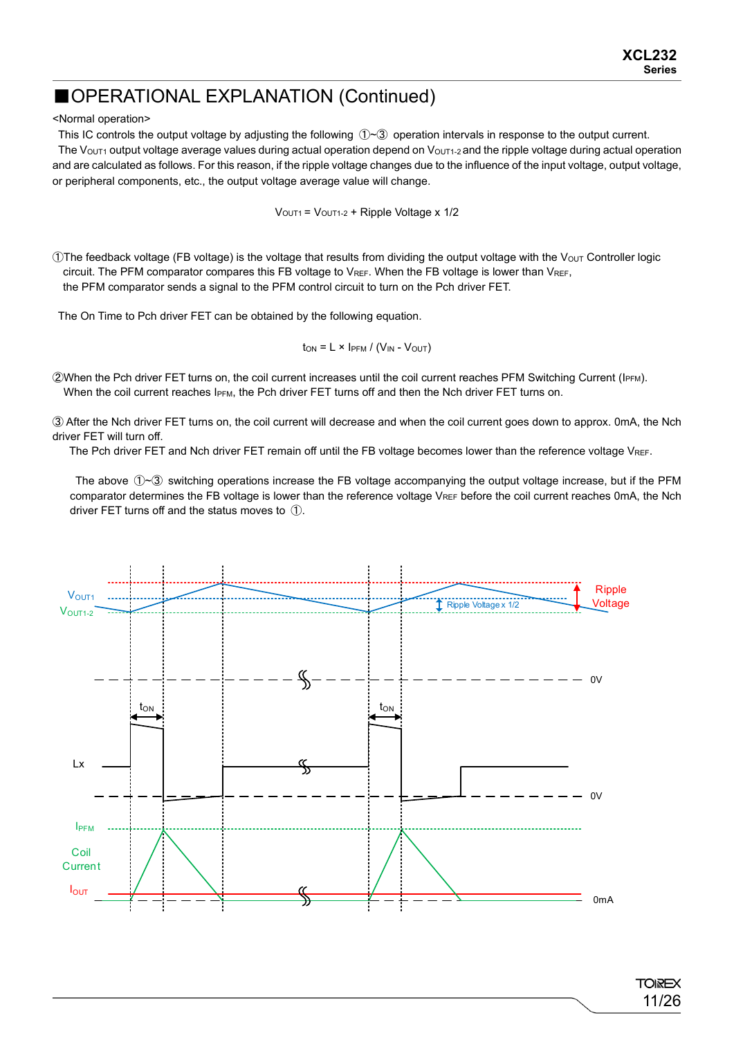<Normal operation>

This IC controls the output voltage by adjusting the following  $(D $\leq$ ) operation intervals in response to the output current.$ 

The Vout1 output voltage average values during actual operation depend on Vout1-2 and the ripple voltage during actual operation and are calculated as follows. For this reason, if the ripple voltage changes due to the influence of the input voltage, output voltage, or peripheral components, etc., the output voltage average value will change.

 $V<sub>OUT1</sub> = V<sub>OUT1-2</sub> + Ripple Voltage x 1/2$ 

OThe feedback voltage (FB voltage) is the voltage that results from dividing the output voltage with the V<sub>OUT</sub> Controller logic circuit. The PFM comparator compares this FB voltage to VREF. When the FB voltage is lower than VREF, the PFM comparator sends a signal to the PFM control circuit to turn on the Pch driver FET.

The On Time to Pch driver FET can be obtained by the following equation.

$$
t_{ON} = L \times I_{PFM} / (V_{IN} - V_{OUT})
$$

②When the Pch driver FET turns on, the coil current increases until the coil current reaches PFM Switching Current (IPFM). When the coil current reaches IPFM, the Pch driver FET turns off and then the Nch driver FET turns on.

③ After the Nch driver FET turns on, the coil current will decrease and when the coil current goes down to approx. 0mA, the Nch driver FET will turn off.

The Pch driver FET and Nch driver FET remain off until the FB voltage becomes lower than the reference voltage VREF.

The above  $\oplus$   $\otimes$  switching operations increase the FB voltage accompanying the output voltage increase, but if the PFM comparator determines the FB voltage is lower than the reference voltage VREF before the coil current reaches 0mA, the Nch driver FET turns off and the status moves to ①.

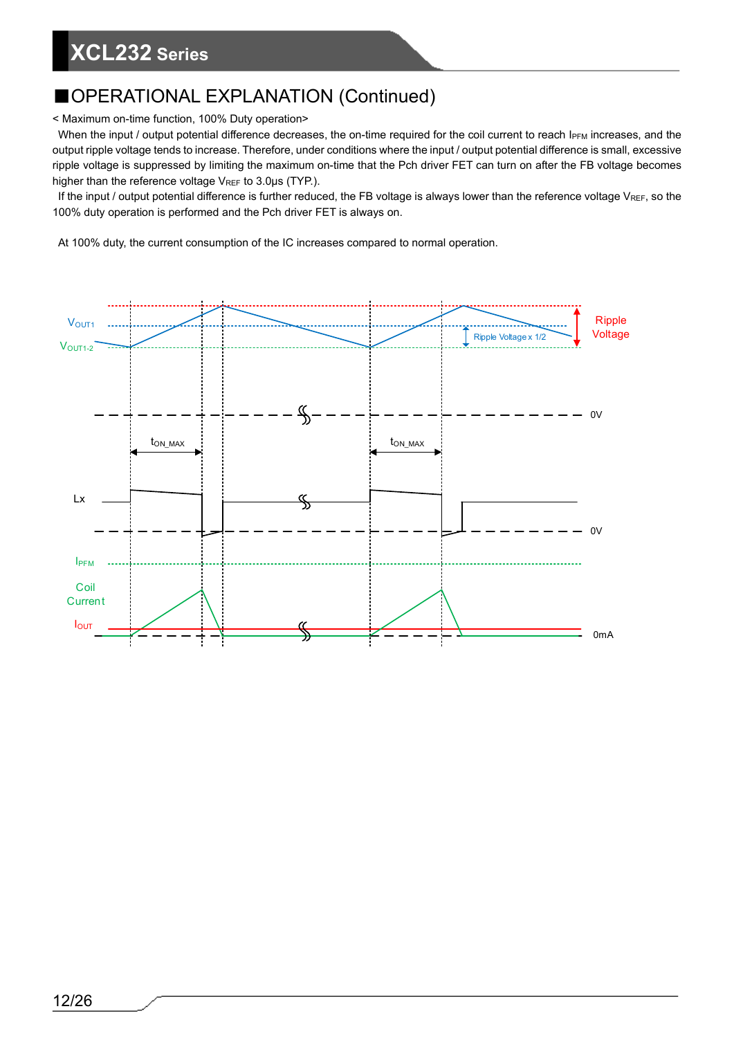### ■OPERATIONAL EXPLANATION (Continued)

< Maximum on-time function, 100% Duty operation>

When the input / output potential difference decreases, the on-time required for the coil current to reach IPFM increases, and the output ripple voltage tends to increase. Therefore, under conditions where the input / output potential difference is small, excessive ripple voltage is suppressed by limiting the maximum on-time that the Pch driver FET can turn on after the FB voltage becomes higher than the reference voltage V<sub>REF</sub> to 3.0μs (TYP.).

If the input / output potential difference is further reduced, the FB voltage is always lower than the reference voltage  $V_{REF}$ , so the 100% duty operation is performed and the Pch driver FET is always on.

At 100% duty, the current consumption of the IC increases compared to normal operation.

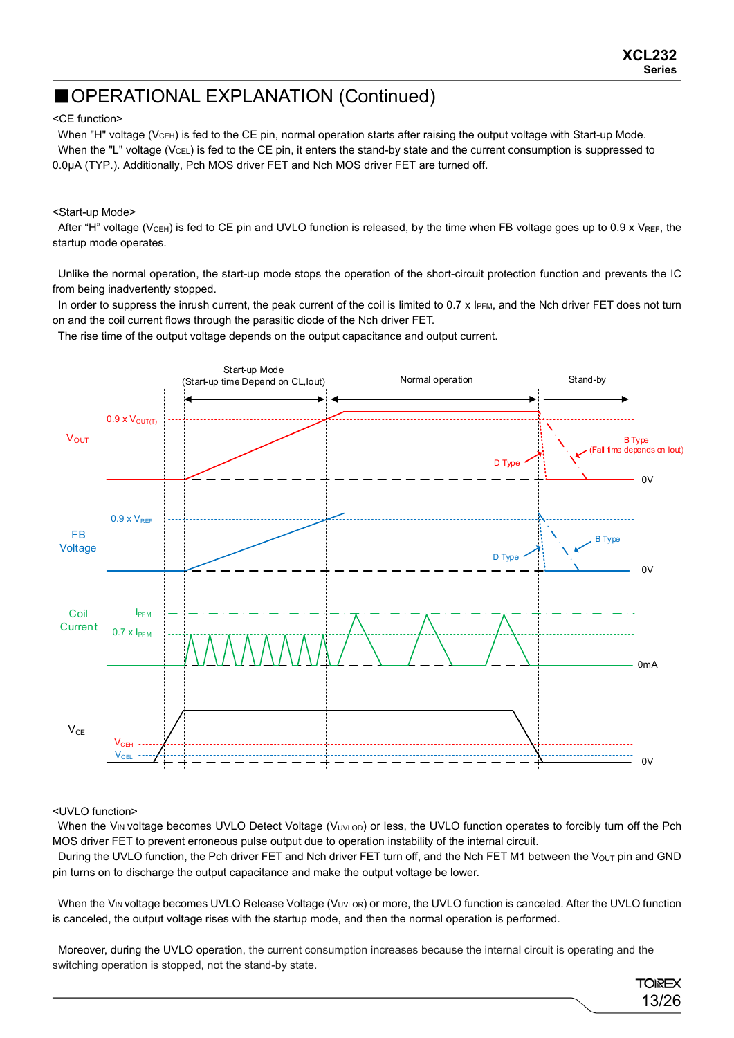#### <CE function>

When "H" voltage (V<sub>CEH</sub>) is fed to the CE pin, normal operation starts after raising the output voltage with Start-up Mode. When the "L" voltage (VcEL) is fed to the CE pin, it enters the stand-by state and the current consumption is suppressed to 0.0μA (TYP.). Additionally, Pch MOS driver FET and Nch MOS driver FET are turned off.

#### <Start-up Mode>

After "H" voltage (V<sub>CEH</sub>) is fed to CE pin and UVLO function is released, by the time when FB voltage goes up to 0.9 x V<sub>REF</sub>, the startup mode operates.

Unlike the normal operation, the start-up mode stops the operation of the short-circuit protection function and prevents the IC from being inadvertently stopped.

In order to suppress the inrush current, the peak current of the coil is limited to 0.7 x IPFM, and the Nch driver FET does not turn on and the coil current flows through the parasitic diode of the Nch driver FET.

The rise time of the output voltage depends on the output capacitance and output current.



#### <UVLO function>

When the V<sub>IN</sub> voltage becomes UVLO Detect Voltage (V<sub>UVLOD</sub>) or less, the UVLO function operates to forcibly turn off the Pch MOS driver FET to prevent erroneous pulse output due to operation instability of the internal circuit.

During the UVLO function, the Pch driver FET and Nch driver FET turn off, and the Nch FET M1 between the V<sub>OUT</sub> pin and GND pin turns on to discharge the output capacitance and make the output voltage be lower.

When the V<sub>IN</sub> voltage becomes UVLO Release Voltage (V<sub>UVLOR</sub>) or more, the UVLO function is canceled. After the UVLO function is canceled, the output voltage rises with the startup mode, and then the normal operation is performed.

Moreover, during the UVLO operation, the current consumption increases because the internal circuit is operating and the switching operation is stopped, not the stand-by state.

> **TOREX** 13/26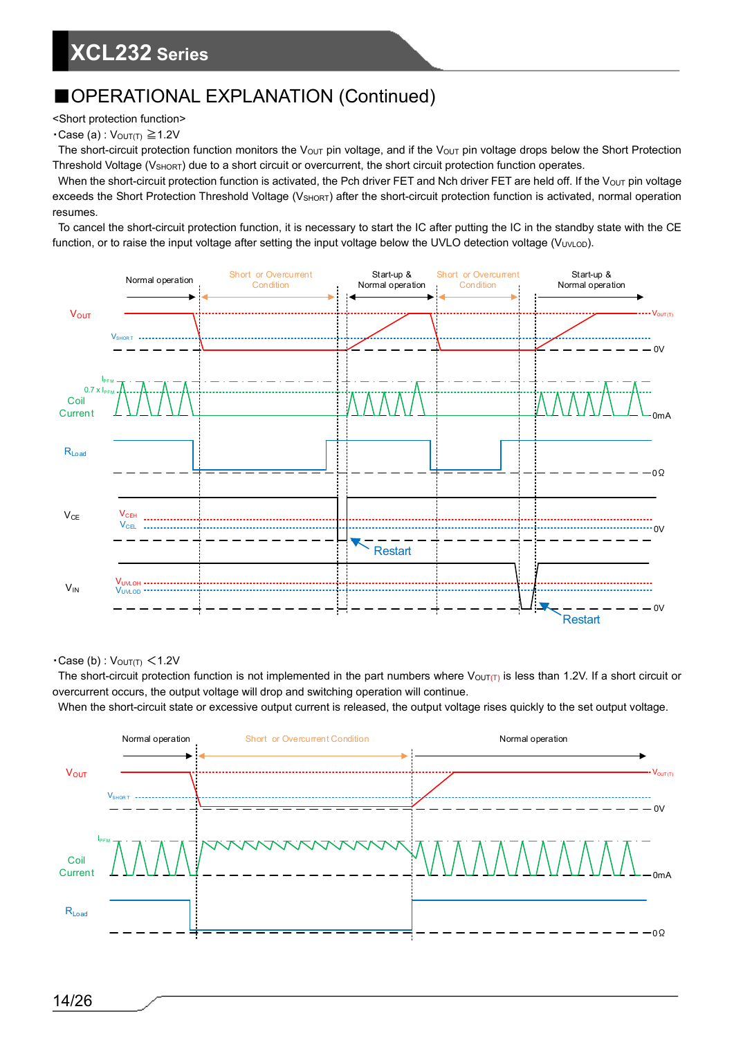<Short protection function>

#### $\cdot$ Case (a) :  $V_{\text{OUT(T)}} \ge 1.2V$

The short-circuit protection function monitors the V<sub>OUT</sub> pin voltage, and if the V<sub>OUT</sub> pin voltage drops below the Short Protection Threshold Voltage (V<sub>SHORT</sub>) due to a short circuit or overcurrent, the short circuit protection function operates.

When the short-circuit protection function is activated, the Pch driver FET and Nch driver FET are held off. If the  $V_{OUT}$  pin voltage exceeds the Short Protection Threshold Voltage (V<sub>SHORT</sub>) after the short-circuit protection function is activated, normal operation resumes.

To cancel the short-circuit protection function, it is necessary to start the IC after putting the IC in the standby state with the CE function, or to raise the input voltage after setting the input voltage below the UVLO detection voltage (VUVLOD).



 $\cdot$ Case (b) :  $V_{\text{OUT(T)}} < 1.2V$ 

The short-circuit protection function is not implemented in the part numbers where  $V_{\text{OUT}(T)}$  is less than 1.2V. If a short circuit or overcurrent occurs, the output voltage will drop and switching operation will continue.

When the short-circuit state or excessive output current is released, the output voltage rises quickly to the set output voltage.

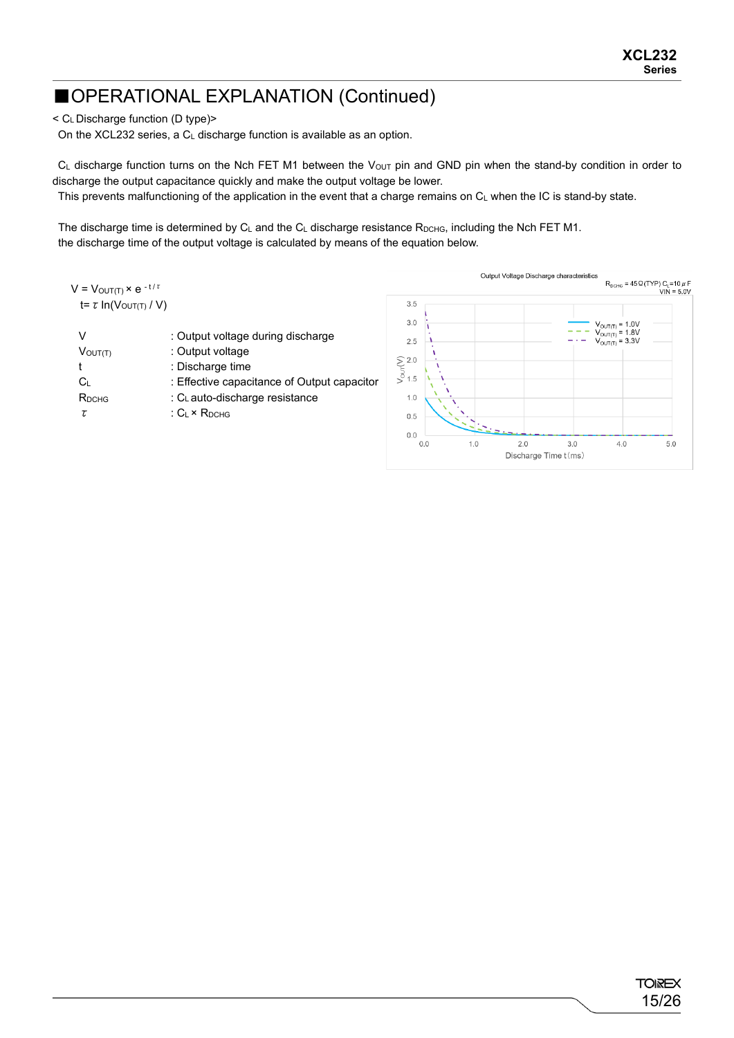< CL Discharge function (D type)>

On the XCL232 series, a CL discharge function is available as an option.

 $C_L$  discharge function turns on the Nch FET M1 between the V<sub>OUT</sub> pin and GND pin when the stand-by condition in order to discharge the output capacitance quickly and make the output voltage be lower.

This prevents malfunctioning of the application in the event that a charge remains on  $C_L$  when the IC is stand-by state.

The discharge time is determined by  $C_L$  and the  $C_L$  discharge resistance  $R_{DCHG}$ , including the Nch FET M1. the discharge time of the output voltage is calculated by means of the equation below.

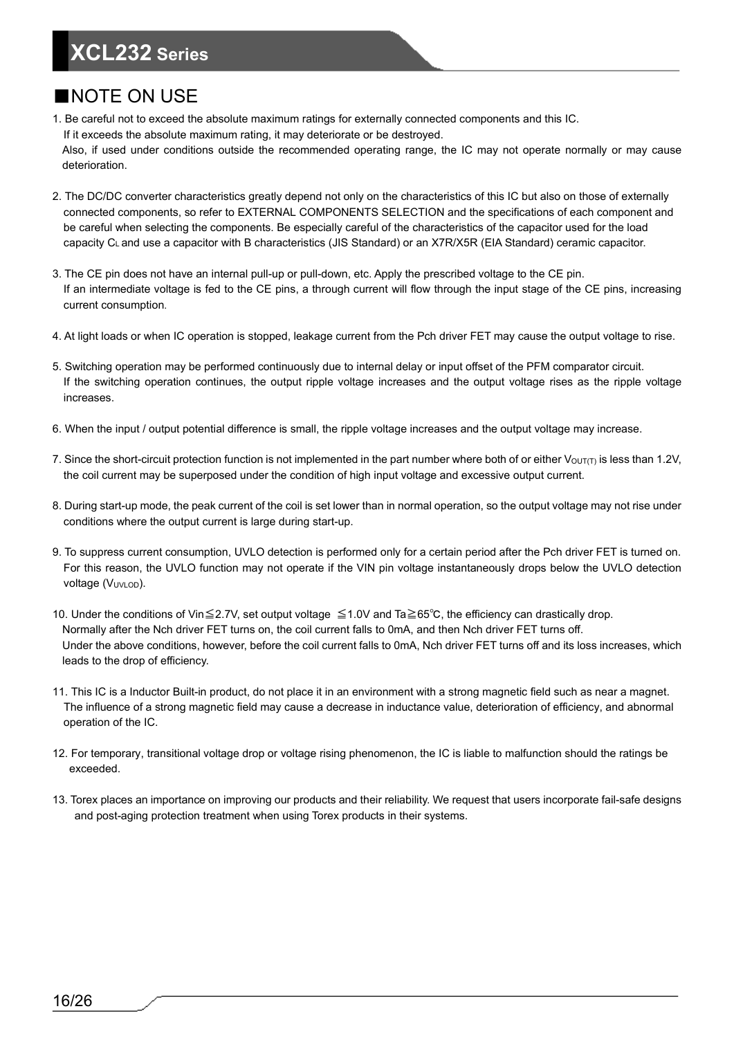#### ■NOTE ON USE

1. Be careful not to exceed the absolute maximum ratings for externally connected components and this IC. If it exceeds the absolute maximum rating, it may deteriorate or be destroyed.

Also, if used under conditions outside the recommended operating range, the IC may not operate normally or may cause deterioration.

- 2. The DC/DC converter characteristics greatly depend not only on the characteristics of this IC but also on those of externally connected components, so refer to EXTERNAL COMPONENTS SELECTION and the specifications of each component and be careful when selecting the components. Be especially careful of the characteristics of the capacitor used for the load capacity CL and use a capacitor with B characteristics (JIS Standard) or an X7R/X5R (EIA Standard) ceramic capacitor.
- 3. The CE pin does not have an internal pull-up or pull-down, etc. Apply the prescribed voltage to the CE pin. If an intermediate voltage is fed to the CE pins, a through current will flow through the input stage of the CE pins, increasing current consumption.
- 4. At light loads or when IC operation is stopped, leakage current from the Pch driver FET may cause the output voltage to rise.
- 5. Switching operation may be performed continuously due to internal delay or input offset of the PFM comparator circuit. If the switching operation continues, the output ripple voltage increases and the output voltage rises as the ripple voltage increases.
- 6. When the input / output potential difference is small, the ripple voltage increases and the output voltage may increase.
- 7. Since the short-circuit protection function is not implemented in the part number where both of or either  $V_{\text{OUT}(T)}$  is less than 1.2V, the coil current may be superposed under the condition of high input voltage and excessive output current.
- 8. During start-up mode, the peak current of the coil is set lower than in normal operation, so the output voltage may not rise under conditions where the output current is large during start-up.
- 9. To suppress current consumption, UVLO detection is performed only for a certain period after the Pch driver FET is turned on. For this reason, the UVLO function may not operate if the VIN pin voltage instantaneously drops below the UVLO detection voltage (VUVLOD).
- 10. Under the conditions of Vin≦2.7V, set output voltage ≦1.0V and Ta≧65℃, the efficiency can drastically drop. Normally after the Nch driver FET turns on, the coil current falls to 0mA, and then Nch driver FET turns off. Under the above conditions, however, before the coil current falls to 0mA, Nch driver FET turns off and its loss increases, which leads to the drop of efficiency.
- 11. This IC is a Inductor Built-in product, do not place it in an environment with a strong magnetic field such as near a magnet. The influence of a strong magnetic field may cause a decrease in inductance value, deterioration of efficiency, and abnormal operation of the IC.
- 12. For temporary, transitional voltage drop or voltage rising phenomenon, the IC is liable to malfunction should the ratings be exceeded.
- 13. Torex places an importance on improving our products and their reliability. We request that users incorporate fail-safe designs and post-aging protection treatment when using Torex products in their systems.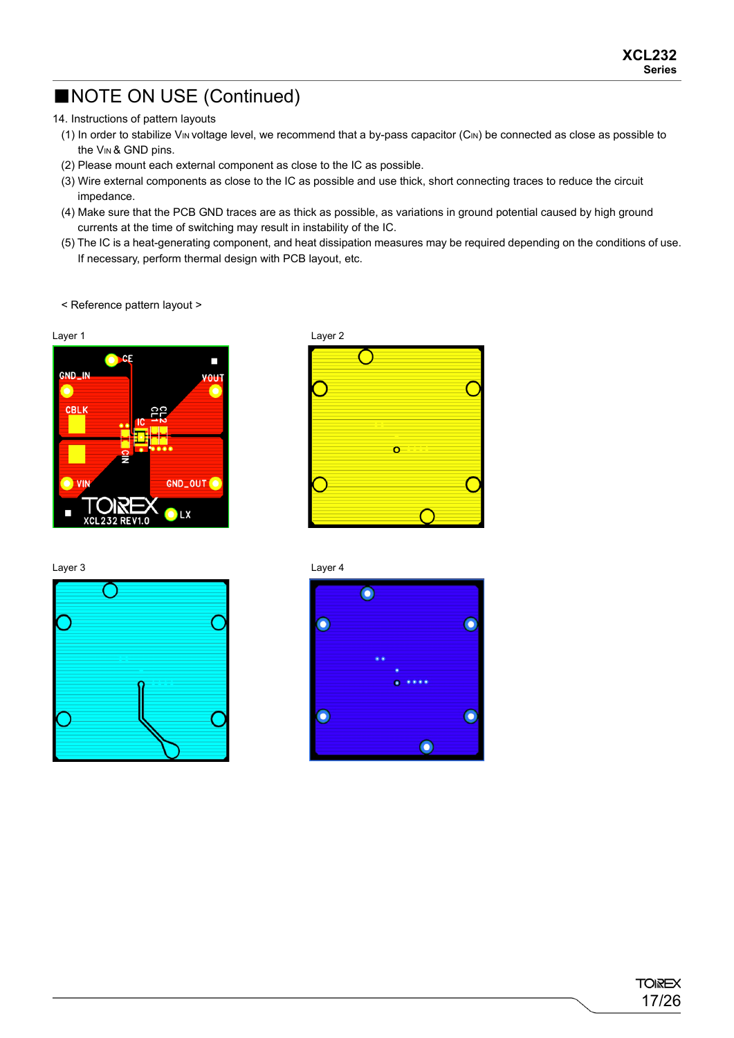### ■NOTE ON USE (Continued)

14. Instructions of pattern layouts

- (1) In order to stabilize VIN voltage level, we recommend that a by-pass capacitor (CIN) be connected as close as possible to the V<sub>IN</sub> & GND pins.
- (2) Please mount each external component as close to the IC as possible.
- (3) Wire external components as close to the IC as possible and use thick, short connecting traces to reduce the circuit impedance.
- (4) Make sure that the PCB GND traces are as thick as possible, as variations in ground potential caused by high ground currents at the time of switching may result in instability of the IC.
- (5) The IC is a heat-generating component, and heat dissipation measures may be required depending on the conditions of use. If necessary, perform thermal design with PCB layout, etc.

< Reference pattern layout >



Layer 3 Layer 4





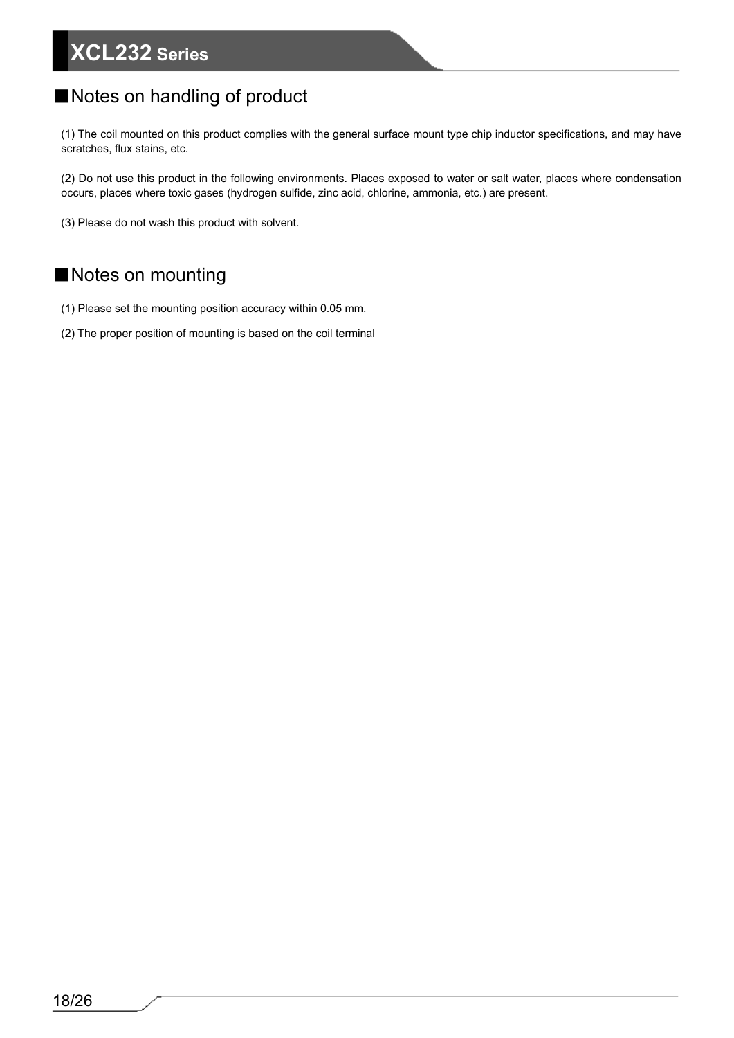#### ■Notes on handling of product

(1) The coil mounted on this product complies with the general surface mount type chip inductor specifications, and may have scratches, flux stains, etc.

(2) Do not use this product in the following environments. Places exposed to water or salt water, places where condensation occurs, places where toxic gases (hydrogen sulfide, zinc acid, chlorine, ammonia, etc.) are present.

(3) Please do not wash this product with solvent.

#### ■Notes on mounting

- (1) Please set the mounting position accuracy within 0.05 mm.
- (2) The proper position of mounting is based on the coil terminal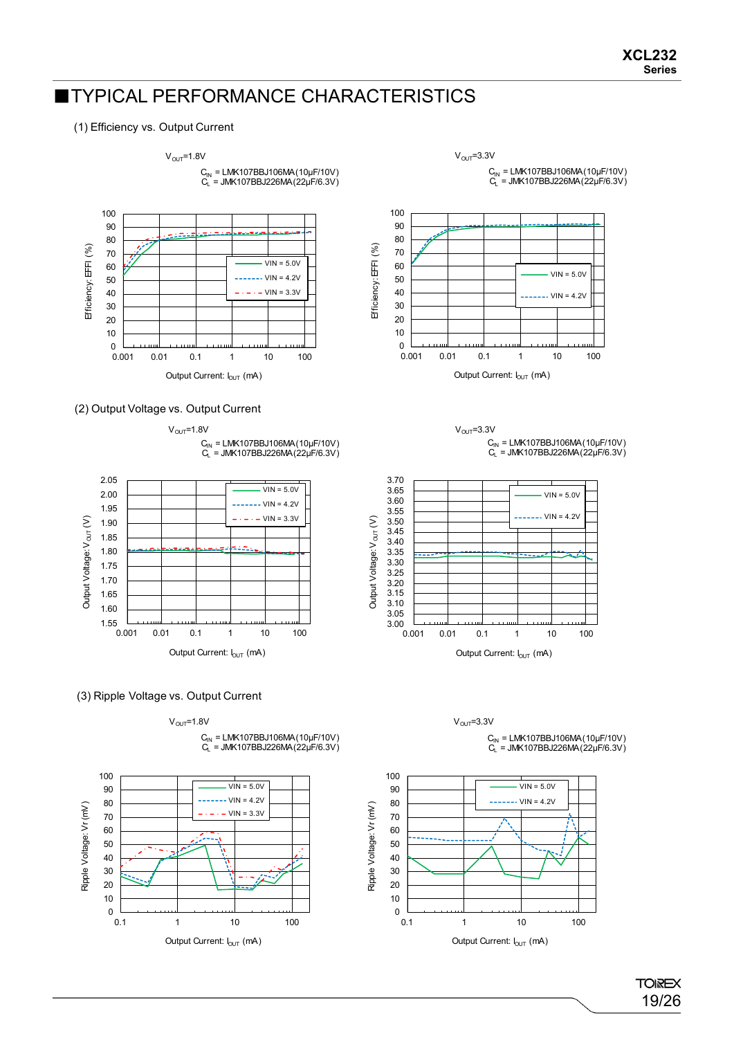#### ■TYPICAL PERFORMANCE CHARACTERISTICS

#### (1) Efficiency vs. Output Current





 $V_{\text{OUT}}$ =1.8V C<sub>IN</sub> = LMK107BBJ106MA(10μF/10V)<br>C<sub>L</sub> = JMK107BBJ226MA(22μF/6.3V)



#### (3) Ripple Voltage vs. Output Current







 $V<sub>OUT</sub>=3.3V$ 











100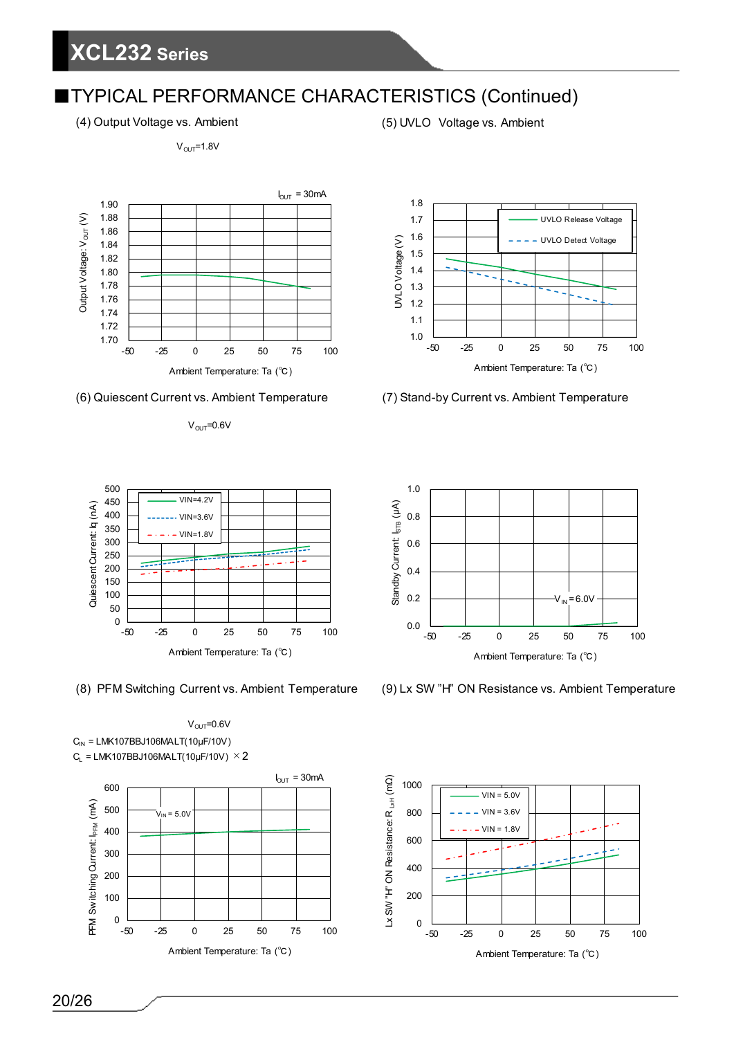(4) Output Voltage vs. Ambient (5) UVLO Voltage vs. Ambient

 $V<sub>OUT</sub>=1.8V$ 





 $V<sub>OUT</sub>=0.6V$ 





 $V<sub>OUT</sub>=0.6V$  $C_{IN}$  = LMK107BBJ106MALT(10µF/10V)  $C_L$  = LMK107BBJ106MALT(10µF/10V)  $\times$  2









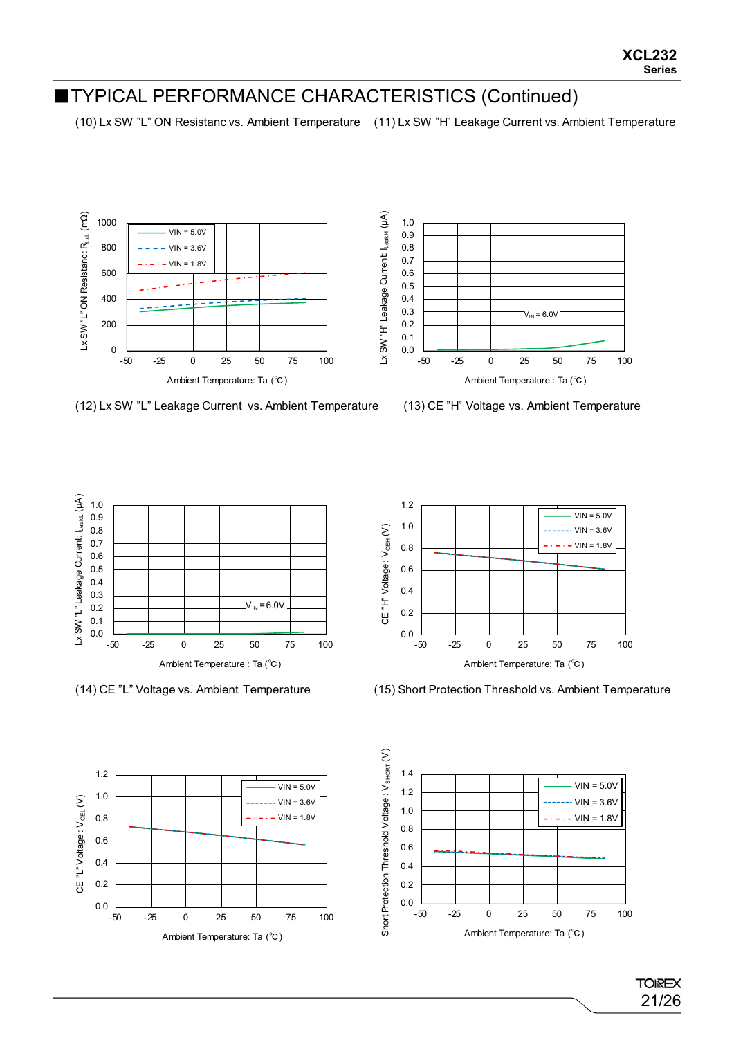(10) Lx SW "L" ON Resistanc vs. Ambient Temperature (11) Lx SW "H" Leakage Current vs. Ambient Temperature





(12) Lx SW "L" Leakage Current vs. Ambient Temperature







(14) CE "L" Voltage vs. Ambient Temperature (15) Short Protection Threshold vs. Ambient Temperature





**TOIREX** 21/26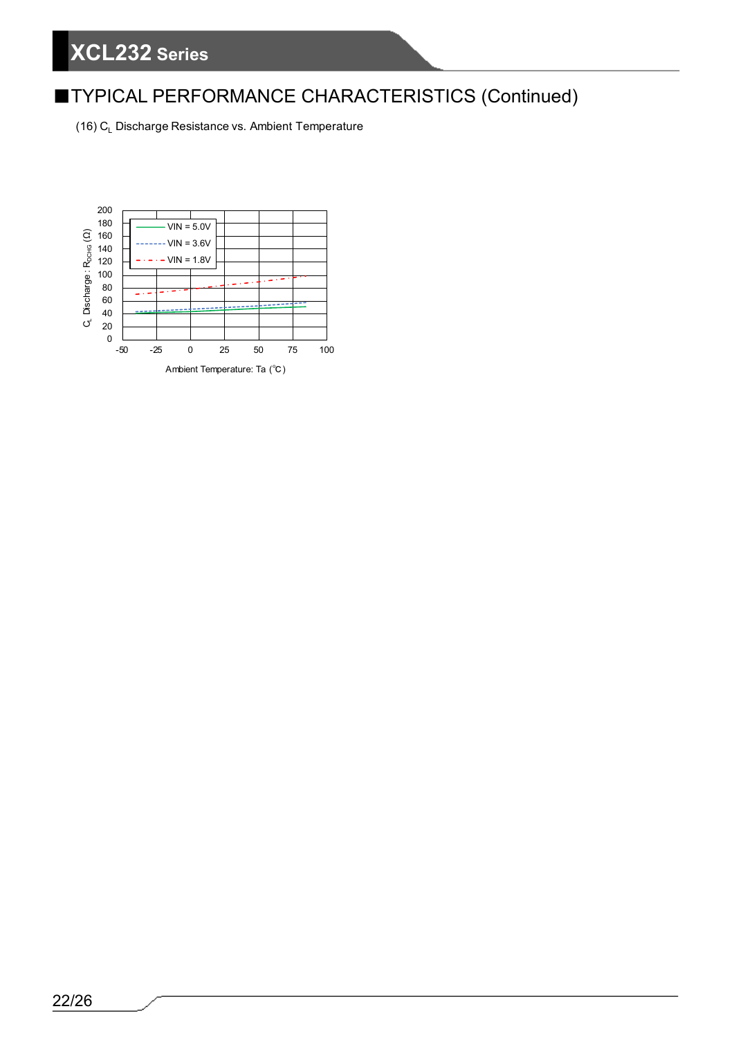(16) C<sub>L</sub> Discharge Resistance vs. Ambient Temperature

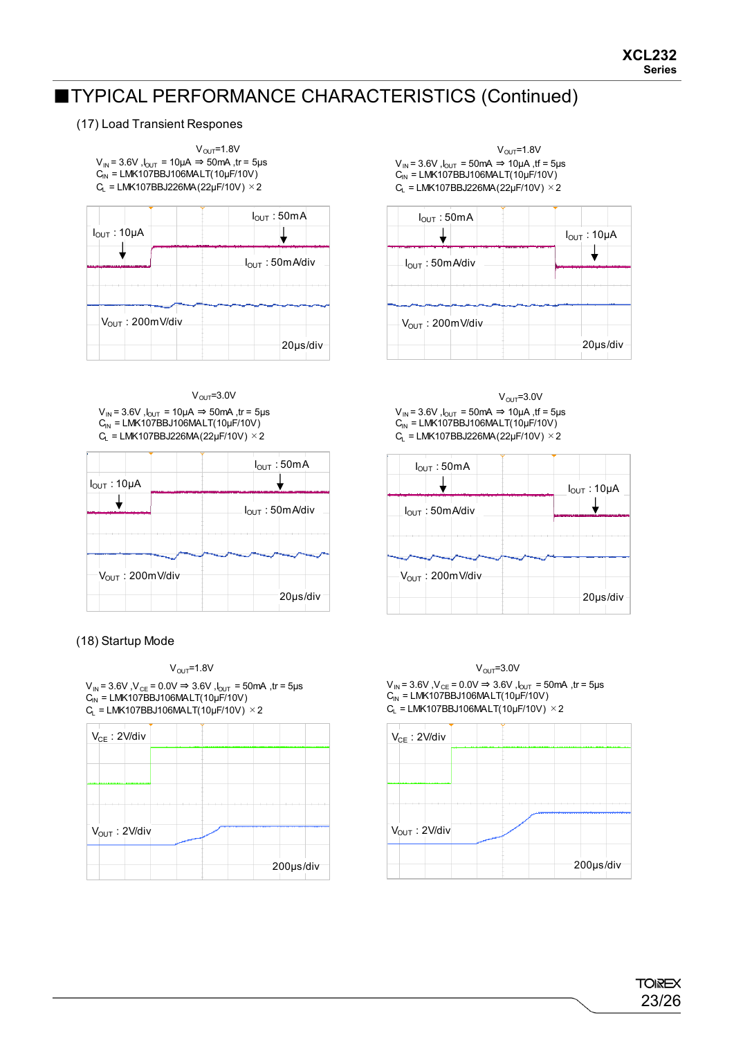#### (17) Load Transient Respones



|                       | $I_{\text{OUT}}:50 \text{mA}$ |
|-----------------------|-------------------------------|
| $I_{OUT}$ : 10µA      |                               |
|                       | $I_{OUT}$ : 50m A/div         |
| $V_{OUT}$ : 200mV/div | 20µs/div                      |

 $V_{IN}$  = 3.6V,  $I_{OUT}$  = 10µA  $\Rightarrow$  50mA, tr = 5µs  $C_{IN}$  = LMK107BBJ106MALT(10µF/10V)  $C_L$  = LMK107BBJ226MA(22µF/10V)  $\times$  2

| $I_{OUT}$ : 10µA      | $I_{OUT}$ : 50mA      |
|-----------------------|-----------------------|
|                       | $I_{OUT}$ : 50m A/div |
| $V_{OUT}$ : 200mV/div |                       |
|                       | 20µs/div              |

#### (18) Startup Mode



 $V_{IN}$  = 3.6V , $V_{CE}$  = 0.0V  $\Rightarrow$  3.6V , $I_{OUT}$  = 50mA ,tr = 5µs  $\mathrm{C_{\text{IN}}}$  = LMK107BBJ106MALT(10µF/10V)  $C_L$  = LMK107BBJ106MALT(10µF/10V)  $\times$  2



 $V_{\text{OUT}}$ =1.8V  $V_{\text{OUT}}$ =1.8V  $V_{IN}$  = 3.6V,  $I_{OUT}$  = 50mA  $\Rightarrow$  10µA, tf = 5µs  $C_{\text{IN}}$  = LMK107BBJ106MALT(10µF/10V)  $C_L$  = LMK107BBJ226MA(22µF/10V)  $\times$  2



 $V_{\text{OUT}}=3.0V$   $V_{\text{OUT}}=3.0V$  $V_{IN}$  = 3.6V,  $I_{OUT}$  = 50mA  $\Rightarrow$  10µA, tf = 5µs  $C_{\text{IN}}^{\text{IN}}$  = LMK107BBJ106MALT(10µF/10V)  $C_L$  = LMK107BBJ226MA(22µF/10V)  $\times$  2

| $I_{OUT}$ : 50mA            | $I_{OUT}$ : 50mA      | $I_{OUT}$ : 10µA |
|-----------------------------|-----------------------|------------------|
| l <sub>out</sub> : 50mA/div | $I_{OUT}$ : 50m A/div |                  |
|                             |                       |                  |
| 20µs/div                    | $V_{OUT}$ : 200mV/div | 20µs/div         |

 $V_{\text{OUT}}$ =1.8V  $V_{\text{OUT}}$ =3.0V  $V_{IN}$  = 3.6V,  $V_{CE}$  = 0.0V ⇒ 3.6V,  $J_{OUT}$  = 50mA, tr = 5µs  $C_{\text{IN}} = LMK107BBJ106MALT(10\mu F/10V)$  $C_{L}$  = LMK107BBJ106MALT(10µF/10V)  $\times$  2

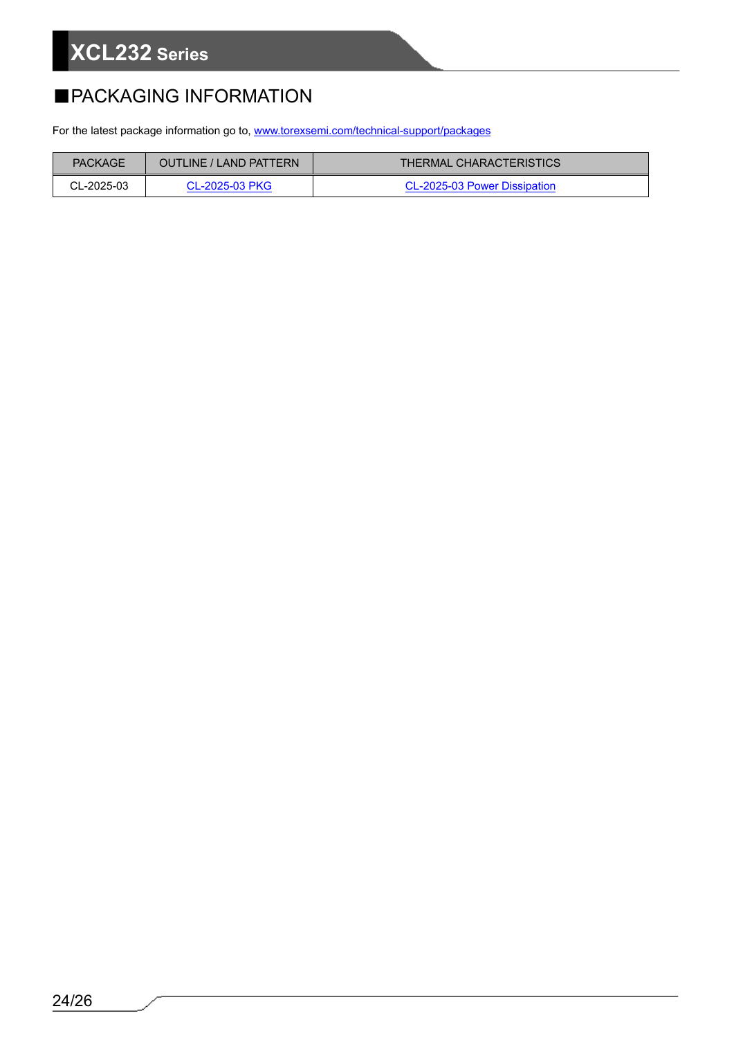### ■PACKAGING INFORMATION

For the latest package information go to, [www.torexsemi.com/technical-support/packages](https://www.torexsemi.com/technical-support/packages/)

| <b>PACKAGE</b> | <b>OUTLINE / LAND PATTERN</b> | <b>THERMAL CHARACTERISTICS</b> |
|----------------|-------------------------------|--------------------------------|
| CL-2025-03     | CL-2025-03 PKG                | CL-2025-03 Power Dissipation   |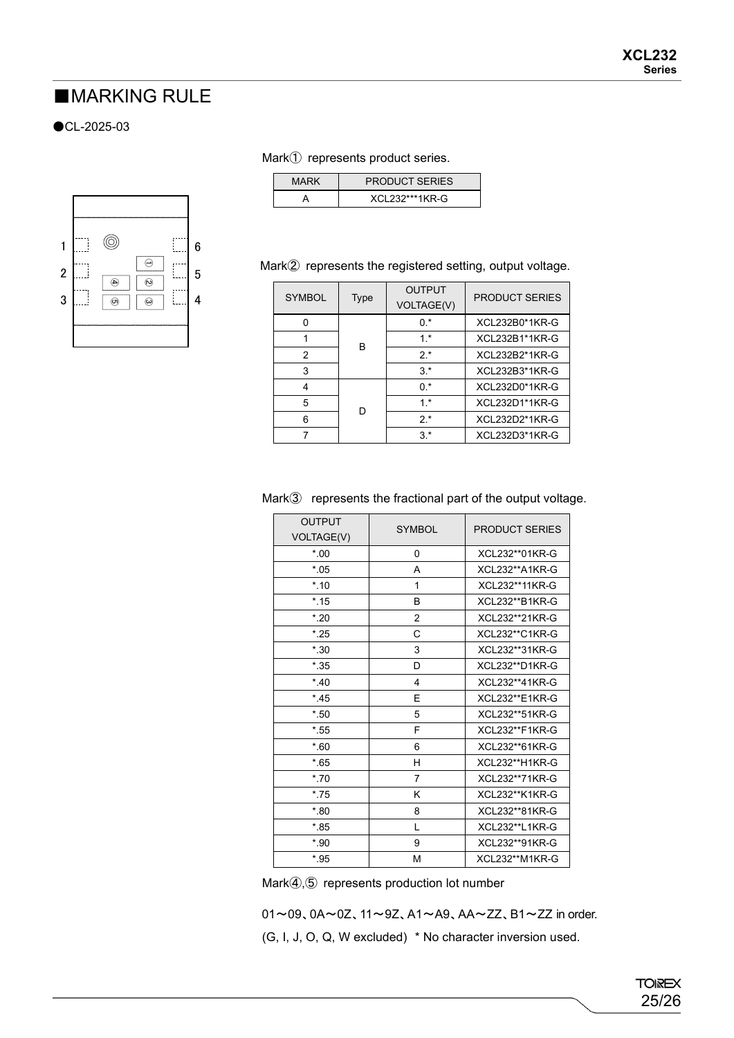#### ■**MARKING RULE**

#### ●CL-2025-03



#### Mark① represents product series.

| MARK | <b>PRODUCT SERIES</b> |
|------|-----------------------|
|      | XCL232***1KR-G        |

#### Mark② represents the registered setting, output voltage.

| <b>SYMBOL</b> | Type | <b>OUTPUT</b><br><b>VOLTAGE(V)</b> | <b>PRODUCT SERIES</b> |
|---------------|------|------------------------------------|-----------------------|
|               | B    | $0.*$                              | XCL232B0*1KR-G        |
|               |      | $1*$                               | XCL232B1*1KR-G        |
| 2             |      | $2.*$                              | XCL232B2*1KR-G        |
| 3             |      | $3.*$                              | XCL232B3*1KR-G        |
| 4             | D    | $0.*$                              | XCL232D0*1KR-G        |
| 5             |      | $1*$                               | XCL232D1*1KR-G        |
| 6             |      | $2.*$                              | XCL232D2*1KR-G        |
|               |      | $3.*$                              | XCL232D3*1KR-G        |

#### Mark③ represents the fractional part of the output voltage.

| <b>OUTPUT</b> |                | <b>PRODUCT SERIES</b> |
|---------------|----------------|-----------------------|
| VOLTAGE(V)    | <b>SYMBOL</b>  |                       |
| $*00$         | 0              | XCL232**01KR-G        |
| $*05$         | A              | XCL232**A1KR-G        |
| $*10$         | 1              | XCL232**11KR-G        |
| $*$ .15       | B              | XCL232**B1KR-G        |
| $*20$         | $\overline{2}$ | XCL232**21KR-G        |
| $*25$         | C              | XCL232**C1KR-G        |
| $*30$         | 3              | XCL232**31KR-G        |
| $*35$         | D              | XCL232**D1KR-G        |
| $*40$         | 4              | XCL232**41KR-G        |
| $*45$         | E              | XCL232**E1KR-G        |
| $*$ .50       | 5              | XCL232**51KR-G        |
| $*55$         | F              | XCL232**F1KR-G        |
| $*_{.60}$     | 6              | XCL232**61KR-G        |
| $*65$         | н              | XCL232**H1KR-G        |
| $*70$         | $\overline{7}$ | XCL232**71KR-G        |
| $*75$         | ĸ              | XCL232**K1KR-G        |
| $*80$         | 8              | XCL232**81KR-G        |
| $*$ .85       | L              | XCL232**L1KR-G        |
| $*90$         | 9              | XCL232**91KR-G        |
| $*$ .95       | M              | XCL232**M1KR-G        |

Mark④,⑤ represents production lot number

 01~09、0A~0Z、11~9Z、A1~A9、AA~ZZ、B1~ZZ in order. (G, I, J, O, Q, W excluded) \* No character inversion used.